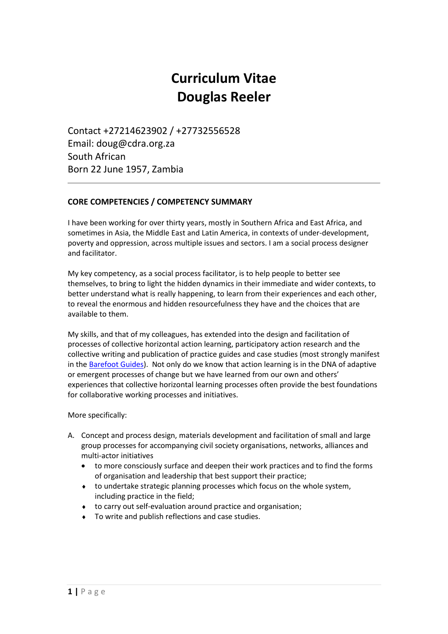# **Curriculum Vitae Douglas Reeler**

Contact +27214623902 / +27732556528 Email: doug@cdra.org.za South African Born 22 June 1957, Zambia

## **CORE COMPETENCIES / COMPETENCY SUMMARY**

I have been working for over thirty years, mostly in Southern Africa and East Africa, and sometimes in Asia, the Middle East and Latin America, in contexts of under-development, poverty and oppression, across multiple issues and sectors. I am a social process designer and facilitator.

My key competency, as a social process facilitator, is to help people to better see themselves, to bring to light the hidden dynamics in their immediate and wider contexts, to better understand what is really happening, to learn from their experiences and each other, to reveal the enormous and hidden resourcefulness they have and the choices that are available to them.

My skills, and that of my colleagues, has extended into the design and facilitation of processes of collective horizontal action learning, participatory action research and the collective writing and publication of practice guides and case studies (most strongly manifest in the [Barefoot Guides\)](http://www.barefootguide.org/). Not only do we know that action learning is in the DNA of adaptive or emergent processes of change but we have learned from our own and others' experiences that collective horizontal learning processes often provide the best foundations for collaborative working processes and initiatives.

More specifically:

- A. Concept and process design, materials development and facilitation of small and large group processes for accompanying civil society organisations, networks, alliances and multi-actor initiatives
	- to more consciously surface and deepen their work practices and to find the forms of organisation and leadership that best support their practice;
	- to undertake strategic planning processes which focus on the whole system, including practice in the field;
	- to carry out self-evaluation around practice and organisation;
	- To write and publish reflections and case studies.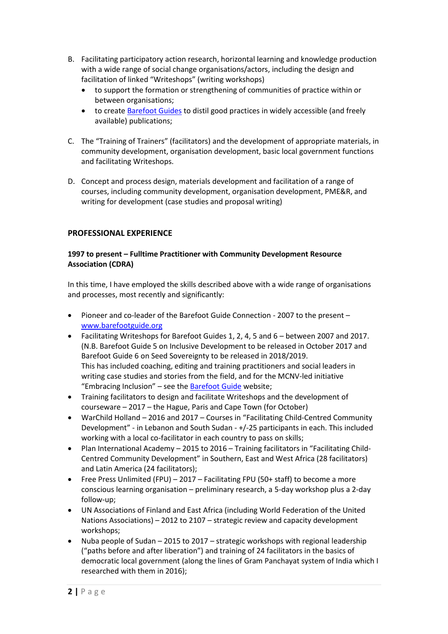- B. Facilitating participatory action research, horizontal learning and knowledge production with a wide range of social change organisations/actors, including the design and facilitation of linked "Writeshops" (writing workshops)
	- to support the formation or strengthening of communities of practice within or between organisations;
	- to create **[Barefoot Guides](http://www.barefootguide.org/)** to distil good practices in widely accessible (and freely available) publications;
- C. The "Training of Trainers" (facilitators) and the development of appropriate materials, in community development, organisation development, basic local government functions and facilitating Writeshops.
- D. Concept and process design, materials development and facilitation of a range of courses, including community development, organisation development, PME&R, and writing for development (case studies and proposal writing)

## **PROFESSIONAL EXPERIENCE**

## **1997 to present – Fulltime Practitioner with Community Development Resource Association (CDRA)**

In this time, I have employed the skills described above with a wide range of organisations and processes, most recently and significantly:

- Pioneer and co-leader of the Barefoot Guide Connection 2007 to the present [www.barefootguide.org](http://www.barefootguide.org/)
- Facilitating Writeshops for Barefoot Guides 1, 2, 4, 5 and 6 between 2007 and 2017. (N.B. Barefoot Guide 5 on Inclusive Development to be released in October 2017 and Barefoot Guide 6 on Seed Sovereignty to be released in 2018/2019. This has included coaching, editing and training practitioners and social leaders in writing case studies and stories from the field, and for the MCNV-led initiative "Embracing Inclusion" – see the **Barefoot Guide** website;
- Training facilitators to design and facilitate Writeshops and the development of courseware – 2017 – the Hague, Paris and Cape Town (for October)
- WarChild Holland 2016 and 2017 Courses in "Facilitating Child-Centred Community Development" - in Lebanon and South Sudan - +/-25 participants in each. This included working with a local co-facilitator in each country to pass on skills;
- Plan International Academy 2015 to 2016 Training facilitators in "Facilitating Child-Centred Community Development" in Southern, East and West Africa (28 facilitators) and Latin America (24 facilitators);
- Free Press Unlimited (FPU) 2017 Facilitating FPU (50+ staff) to become a more conscious learning organisation – preliminary research, a 5-day workshop plus a 2-day follow-up;
- UN Associations of Finland and East Africa (including World Federation of the United Nations Associations) – 2012 to 2107 – strategic review and capacity development workshops;
- Nuba people of Sudan 2015 to 2017 strategic workshops with regional leadership ("paths before and after liberation") and training of 24 facilitators in the basics of democratic local government (along the lines of Gram Panchayat system of India which I researched with them in 2016);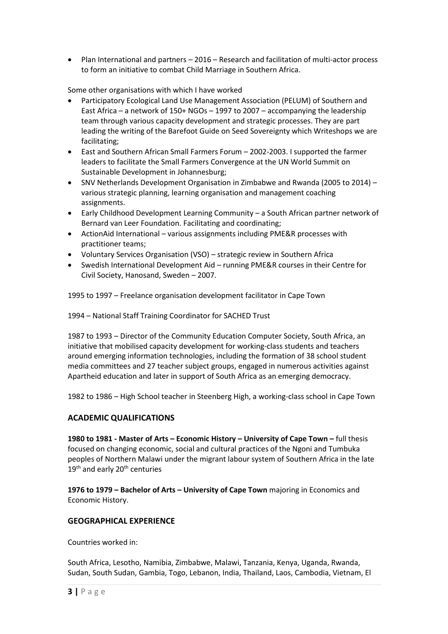• Plan International and partners – 2016 – Research and facilitation of multi-actor process to form an initiative to combat Child Marriage in Southern Africa.

Some other organisations with which I have worked

- Participatory Ecological Land Use Management Association (PELUM) of Southern and East Africa – a network of 150+ NGOs – 1997 to 2007 – accompanying the leadership team through various capacity development and strategic processes. They are part leading the writing of the Barefoot Guide on Seed Sovereignty which Writeshops we are facilitating;
- East and Southern African Small Farmers Forum 2002-2003. I supported the farmer leaders to facilitate the Small Farmers Convergence at the UN World Summit on Sustainable Development in Johannesburg;
- SNV Netherlands Development Organisation in Zimbabwe and Rwanda (2005 to 2014) various strategic planning, learning organisation and management coaching assignments.
- Early Childhood Development Learning Community a South African partner network of Bernard van Leer Foundation. Facilitating and coordinating;
- ActionAid International various assignments including PME&R processes with practitioner teams;
- Voluntary Services Organisation (VSO) strategic review in Southern Africa
- Swedish International Development Aid running PME&R courses in their Centre for Civil Society, Hanosand, Sweden – 2007.

1995 to 1997 – Freelance organisation development facilitator in Cape Town

1994 – National Staff Training Coordinator for SACHED Trust

1987 to 1993 – Director of the Community Education Computer Society, South Africa, an initiative that mobilised capacity development for working-class students and teachers around emerging information technologies, including the formation of 38 school student media committees and 27 teacher subject groups, engaged in numerous activities against Apartheid education and later in support of South Africa as an emerging democracy.

1982 to 1986 – High School teacher in Steenberg High, a working-class school in Cape Town

## **ACADEMIC QUALIFICATIONS**

**1980 to 1981 - Master of Arts – Economic History – University of Cape Town –** full thesis focused on changing economic, social and cultural practices of the Ngoni and Tumbuka peoples of Northern Malawi under the migrant labour system of Southern Africa in the late  $19<sup>th</sup>$  and early  $20<sup>th</sup>$  centuries

**1976 to 1979 – Bachelor of Arts – University of Cape Town** majoring in Economics and Economic History.

## **GEOGRAPHICAL EXPERIENCE**

Countries worked in:

South Africa, Lesotho, Namibia, Zimbabwe, Malawi, Tanzania, Kenya, Uganda, Rwanda, Sudan, South Sudan, Gambia, Togo, Lebanon, India, Thailand, Laos, Cambodia, Vietnam, El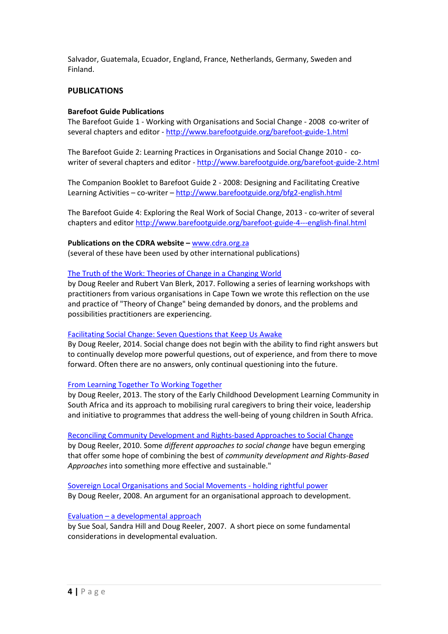Salvador, Guatemala, Ecuador, England, France, Netherlands, Germany, Sweden and Finland.

## **PUBLICATIONS**

#### **Barefoot Guide Publications**

The Barefoot Guide 1 - Working with Organisations and Social Change - 2008 co-writer of several chapters and editor - <http://www.barefootguide.org/barefoot-guide-1.html>

The Barefoot Guide 2: Learning Practices in Organisations and Social Change 2010 - cowriter of several chapters and editor - <http://www.barefootguide.org/barefoot-guide-2.html>

The Companion Booklet to Barefoot Guide 2 - 2008: Designing and Facilitating Creative Learning Activities – co-writer – <http://www.barefootguide.org/bfg2-english.html>

The Barefoot Guide 4: Exploring the Real Work of Social Change, 2013 - co-writer of several chapters and editor<http://www.barefootguide.org/barefoot-guide-4---english-final.html>

**Publications on the CDRA website – [www.cdra.org.za](http://www.cdra.org.za/)** (several of these have been used by other international publications)

#### The Truth of the Work: [Theories of Change in a Changing World](http://www.cdra.org.za/uploads/1/1/1/6/111664/the_truth_of_the_work_-_theories_of_change_in_a_changing_world_-_by_doug_reeler_and_rubert_van_blerk_%E2%80%93_cdra_2017_-_final.pdf)

by Doug Reeler and Rubert Van Blerk, 2017. Following a series of learning workshops with practitioners from various organisations in Cape Town we wrote this reflection on the use and practice of "Theory of Change" being demanded by donors, and the problems and possibilities practitioners are experiencing.

#### [Facilitating Social Change: Seven Questions that Keep Us Awake](http://www.cdra.org.za/uploads/1/1/1/6/111664/facilitating_social_change_-_seven_questions_that_keep_us_awake_-_by_doug_reeler.pdf)

By Doug Reeler, 2014. Social change does not begin with the ability to find right answers but to continually develop more powerful questions, out of experience, and from there to move forward. Often there are no answers, only continual questioning into the future.

#### [From Learning Together](http://www.cdra.org.za/uploads/1/1/1/6/111664/from_learning_together_to_working_together_-_the_ecdlc_-_by_doug_reeler.pdf) To Working Together

by Doug Reeler, 2013. The story of the Early Childhood Development Learning Community in South Africa and its approach to mobilising rural caregivers to bring their voice, leadership and initiative to programmes that address the well-being of young children in South Africa.

[Reconciling Community Development and Rights-based Approaches to Social Change](http://www.cdra.org.za/uploads/1/1/1/6/111664/reconciling_community_development_and_rights-based_approach_to_social_change_doug_reeler_2010.doc) by Doug Reeler, 2010. Some *different approaches to social change* have begun emerging that offer some hope of combining the best of *community development and Rights-Based Approaches* into something more effective and sustainable."

[Sovereign Local Organisations and Social Movements](http://www.cdra.org.za/uploads/1/1/1/6/111664/sovereign_organisation_doug_reeler2008.doc) - holding rightful power By Doug Reeler, 2008. An argument for an organisational approach to development.

#### Evaluation – [a developmental approach](http://www.cdra.org.za/uploads/1/1/1/6/111664/evaluation_sue_soal-sandra_hill-doug_reeler2008.doc)

by Sue Soal, Sandra Hill and Doug Reeler, 2007. A short piece on some fundamental considerations in developmental evaluation.